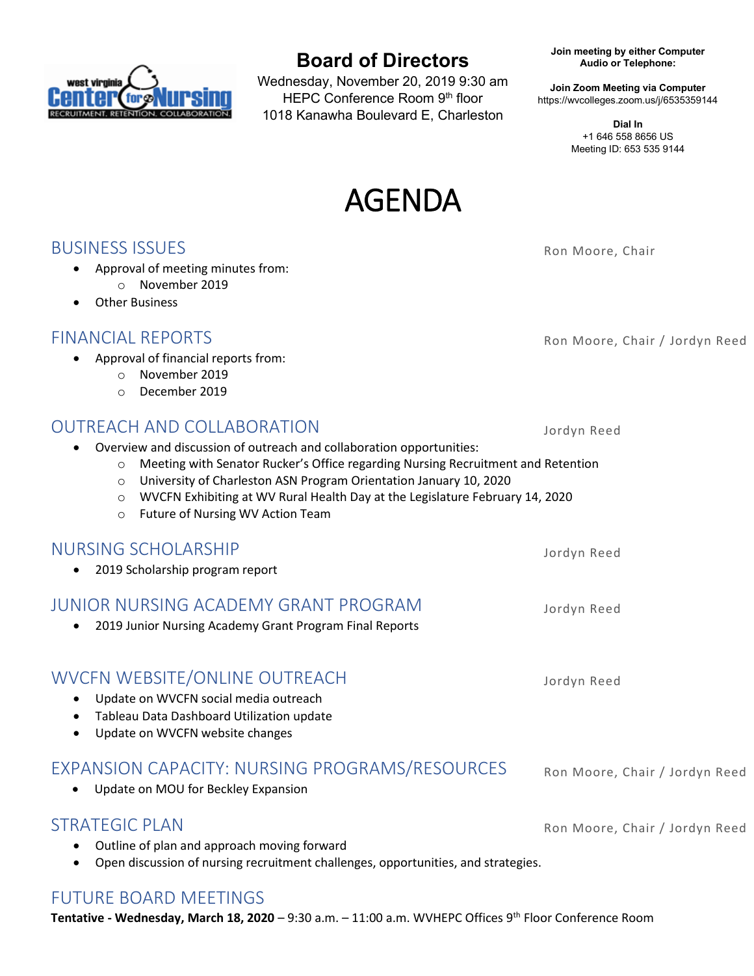

# **Board of Directors**

Wednesday, November 20, 2019 9:30 am HEPC Conference Room 9th floor 1018 Kanawha Boulevard E, Charleston

**Join meeting by either Computer Audio or Telephone:**

**Join Zoom Meeting via Computer** https://wvcolleges.zoom.us/j/6535359144

> **Dial In** +1 646 558 8656 US Meeting ID: 653 535 9144



**BUSINESS ISSUES** Rom Moore, Chair

- Approval of meeting minutes from:
	- o November 2019
- Other Business

#### FINANCIAL REPORTS **Roman Contract Contract Contract Contract Contract Contract Contract Contract Contract Contract Contract Contract Contract Contract Contract Contract Contract Contract Contract Contract Contract Contract**

- Approval of financial reports from:
	- o November 2019
	- o December 2019

### OUTREACH AND COLLABORATION Jordyn Reed

- Overview and discussion of outreach and collaboration opportunities:
	- o Meeting with Senator Rucker's Office regarding Nursing Recruitment and Retention
	- o University of Charleston ASN Program Orientation January 10, 2020
	- o WVCFN Exhibiting at WV Rural Health Day at the Legislature February 14, 2020
	- o Future of Nursing WV Action Team

#### NURSING SCHOLARSHIP Jordyn Reed

• 2019 Scholarship program report

# JUNIOR NURSING ACADEMY GRANT PROGRAM Jordyn Reed

• 2019 Junior Nursing Academy Grant Program Final Reports

### WVCFN WEBSITE/ONLINE OUTREACH Jordyn Reed

- Update on WVCFN social media outreach
- Tableau Data Dashboard Utilization update
- Update on WVCFN website changes

## EXPANSION CAPACITY: NURSING PROGRAMS/RESOURCES Ron Moore, Chair / Jordyn Reed

• Update on MOU for Beckley Expansion

### STRATEGIC PLAN Ron Moore, Chair / Jordyn Reed

• Outline of plan and approach moving forward

• Open discussion of nursing recruitment challenges, opportunities, and strategies.

### FUTURE BOARD MEETINGS

**Tentative - Wednesday, March 18, 2020** – 9:30 a.m. – 11:00 a.m. WVHEPC Offices 9th Floor Conference Room